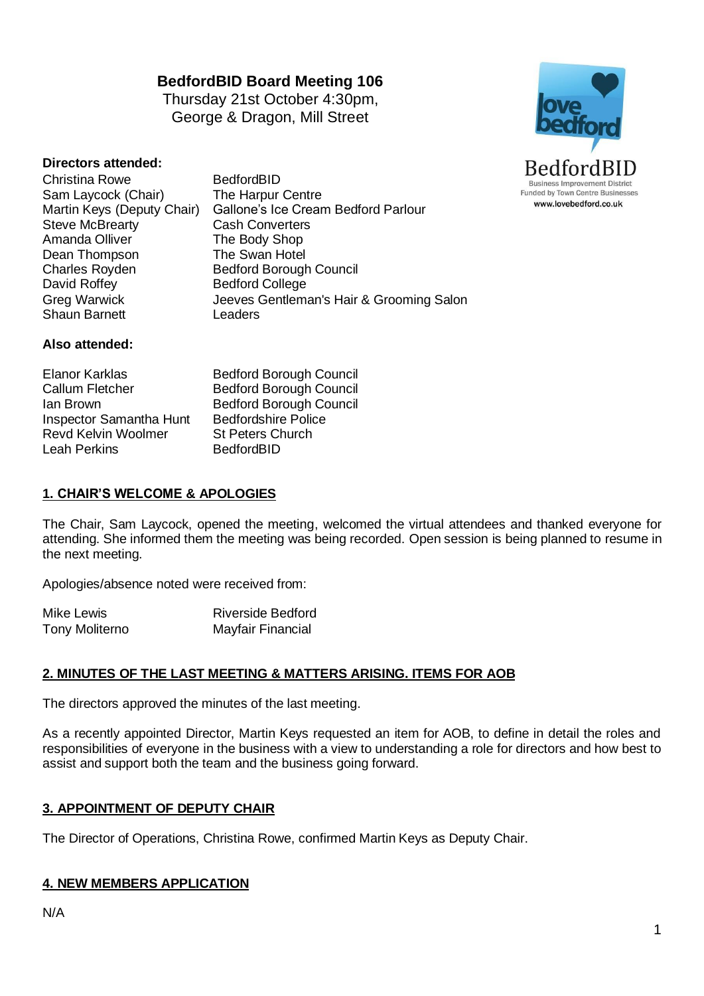# **BedfordBID Board Meeting 106**

Thursday 21st October 4:30pm, George & Dragon, Mill Street



### **Directors attended:**

- Christina Rowe BedfordBID Sam Laycock (Chair) The Harpur Centre<br>Martin Keys (Deputy Chair) Gallone's Ice Crear Steve McBrearty<br>Amanda Olliver Dean Thompson Charles Royden Bedford Borough Council David Roffey Bedford College Shaun Barnett Leaders
- Gallone's Ice Cream Bedford Parlour<br>Cash Converters The Body Shop<br>The Swan Hotel Greg Warwick Jeeves Gentleman's Hair & Grooming Salon

#### **Also attended:**

Elanor Karklas Bedford Borough Council Callum Fletcher Bedford Borough Council Ian Brown Bedford Borough Council Inspector Samantha Hunt Bedfordshire Police<br>Revd Kelvin Woolmer St Peters Church Revd Kelvin Woolmer Leah Perkins BedfordBID

### **1. CHAIR'S WELCOME & APOLOGIES**

The Chair, Sam Laycock, opened the meeting, welcomed the virtual attendees and thanked everyone for attending. She informed them the meeting was being recorded. Open session is being planned to resume in the next meeting.

Apologies/absence noted were received from:

| Mike Lewis     | <b>Riverside Bedford</b> |
|----------------|--------------------------|
| Tony Moliterno | Mayfair Financial        |

### **2. MINUTES OF THE LAST MEETING & MATTERS ARISING. ITEMS FOR AOB**

The directors approved the minutes of the last meeting.

As a recently appointed Director, Martin Keys requested an item for AOB, to define in detail the roles and responsibilities of everyone in the business with a view to understanding a role for directors and how best to assist and support both the team and the business going forward.

#### **3. APPOINTMENT OF DEPUTY CHAIR**

The Director of Operations, Christina Rowe, confirmed Martin Keys as Deputy Chair.

#### **4. NEW MEMBERS APPLICATION**

N/A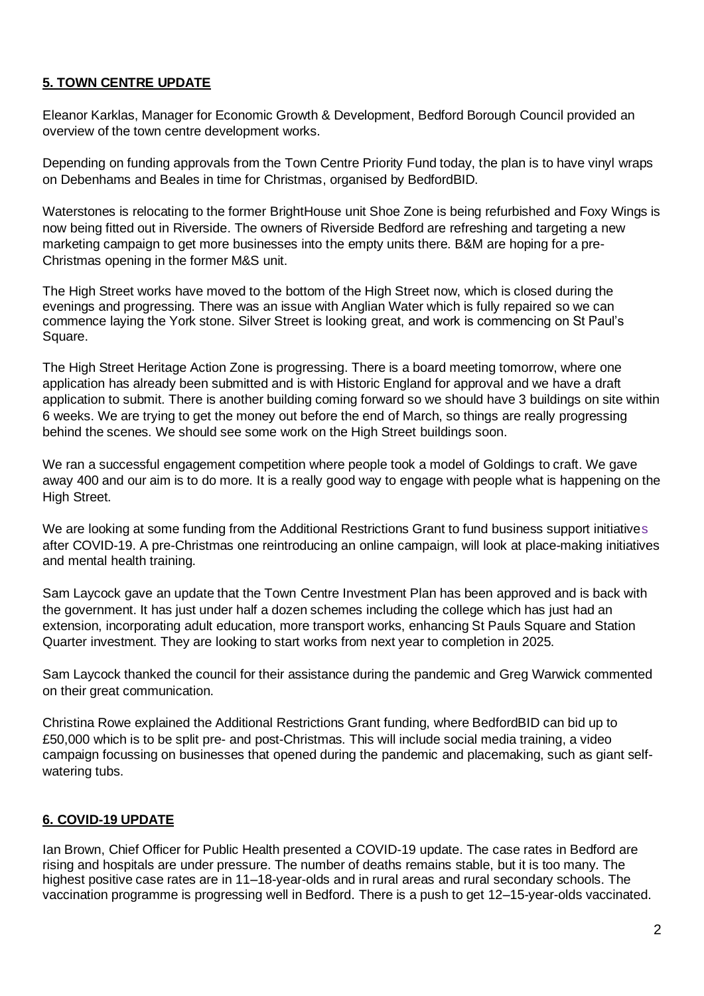# **5. TOWN CENTRE UPDATE**

Eleanor Karklas, Manager for Economic Growth & Development, Bedford Borough Council provided an overview of the town centre development works.

Depending on funding approvals from the Town Centre Priority Fund today, the plan is to have vinyl wraps on Debenhams and Beales in time for Christmas, organised by BedfordBID.

Waterstones is relocating to the former BrightHouse unit Shoe Zone is being refurbished and Foxy Wings is now being fitted out in Riverside. The owners of Riverside Bedford are refreshing and targeting a new marketing campaign to get more businesses into the empty units there. B&M are hoping for a pre-Christmas opening in the former M&S unit.

The High Street works have moved to the bottom of the High Street now, which is closed during the evenings and progressing. There was an issue with Anglian Water which is fully repaired so we can commence laying the York stone. Silver Street is looking great, and work is commencing on St Paul's Square.

The High Street Heritage Action Zone is progressing. There is a board meeting tomorrow, where one application has already been submitted and is with Historic England for approval and we have a draft application to submit. There is another building coming forward so we should have 3 buildings on site within 6 weeks. We are trying to get the money out before the end of March, so things are really progressing behind the scenes. We should see some work on the High Street buildings soon.

We ran a successful engagement competition where people took a model of Goldings to craft. We gave away 400 and our aim is to do more. It is a really good way to engage with people what is happening on the High Street.

We are looking at some funding from the Additional Restrictions Grant to fund business support initiatives after COVID-19. A pre-Christmas one reintroducing an online campaign, will look at place-making initiatives and mental health training.

Sam Laycock gave an update that the Town Centre Investment Plan has been approved and is back with the government. It has just under half a dozen schemes including the college which has just had an extension, incorporating adult education, more transport works, enhancing St Pauls Square and Station Quarter investment. They are looking to start works from next year to completion in 2025.

Sam Laycock thanked the council for their assistance during the pandemic and Greg Warwick commented on their great communication.

Christina Rowe explained the Additional Restrictions Grant funding, where BedfordBID can bid up to £50,000 which is to be split pre- and post-Christmas. This will include social media training, a video campaign focussing on businesses that opened during the pandemic and placemaking, such as giant selfwatering tubs.

### **6. COVID-19 UPDATE**

Ian Brown, Chief Officer for Public Health presented a COVID-19 update. The case rates in Bedford are rising and hospitals are under pressure. The number of deaths remains stable, but it is too many. The highest positive case rates are in 11–18-year-olds and in rural areas and rural secondary schools. The vaccination programme is progressing well in Bedford. There is a push to get 12–15-year-olds vaccinated.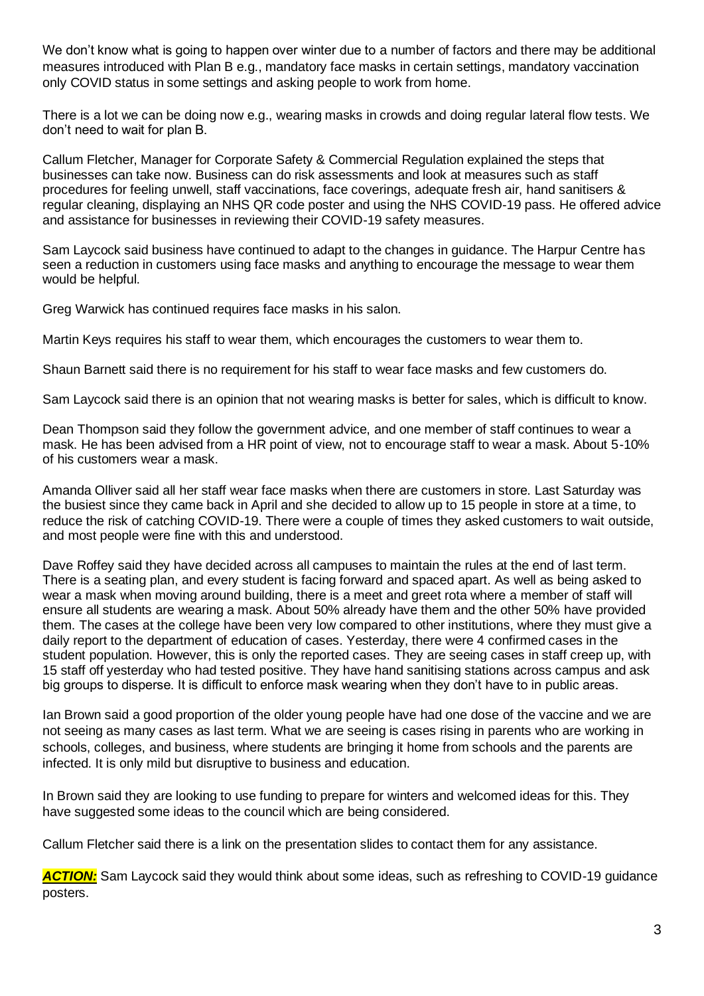We don't know what is going to happen over winter due to a number of factors and there may be additional measures introduced with Plan B e.g., mandatory face masks in certain settings, mandatory vaccination only COVID status in some settings and asking people to work from home.

There is a lot we can be doing now e.g., wearing masks in crowds and doing regular lateral flow tests. We don't need to wait for plan B.

Callum Fletcher, Manager for Corporate Safety & Commercial Regulation explained the steps that businesses can take now. Business can do risk assessments and look at measures such as staff procedures for feeling unwell, staff vaccinations, face coverings, adequate fresh air, hand sanitisers & regular cleaning, displaying an NHS QR code poster and using the NHS COVID-19 pass. He offered advice and assistance for businesses in reviewing their COVID-19 safety measures.

Sam Laycock said business have continued to adapt to the changes in guidance. The Harpur Centre has seen a reduction in customers using face masks and anything to encourage the message to wear them would be helpful.

Greg Warwick has continued requires face masks in his salon.

Martin Keys requires his staff to wear them, which encourages the customers to wear them to.

Shaun Barnett said there is no requirement for his staff to wear face masks and few customers do.

Sam Laycock said there is an opinion that not wearing masks is better for sales, which is difficult to know.

Dean Thompson said they follow the government advice, and one member of staff continues to wear a mask. He has been advised from a HR point of view, not to encourage staff to wear a mask. About 5-10% of his customers wear a mask.

Amanda Olliver said all her staff wear face masks when there are customers in store. Last Saturday was the busiest since they came back in April and she decided to allow up to 15 people in store at a time, to reduce the risk of catching COVID-19. There were a couple of times they asked customers to wait outside, and most people were fine with this and understood.

Dave Roffey said they have decided across all campuses to maintain the rules at the end of last term. There is a seating plan, and every student is facing forward and spaced apart. As well as being asked to wear a mask when moving around building, there is a meet and greet rota where a member of staff will ensure all students are wearing a mask. About 50% already have them and the other 50% have provided them. The cases at the college have been very low compared to other institutions, where they must give a daily report to the department of education of cases. Yesterday, there were 4 confirmed cases in the student population. However, this is only the reported cases. They are seeing cases in staff creep up, with 15 staff off yesterday who had tested positive. They have hand sanitising stations across campus and ask big groups to disperse. It is difficult to enforce mask wearing when they don't have to in public areas.

Ian Brown said a good proportion of the older young people have had one dose of the vaccine and we are not seeing as many cases as last term. What we are seeing is cases rising in parents who are working in schools, colleges, and business, where students are bringing it home from schools and the parents are infected. It is only mild but disruptive to business and education.

In Brown said they are looking to use funding to prepare for winters and welcomed ideas for this. They have suggested some ideas to the council which are being considered.

Callum Fletcher said there is a link on the presentation slides to contact them for any assistance.

*ACTION:* Sam Laycock said they would think about some ideas, such as refreshing to COVID-19 guidance posters.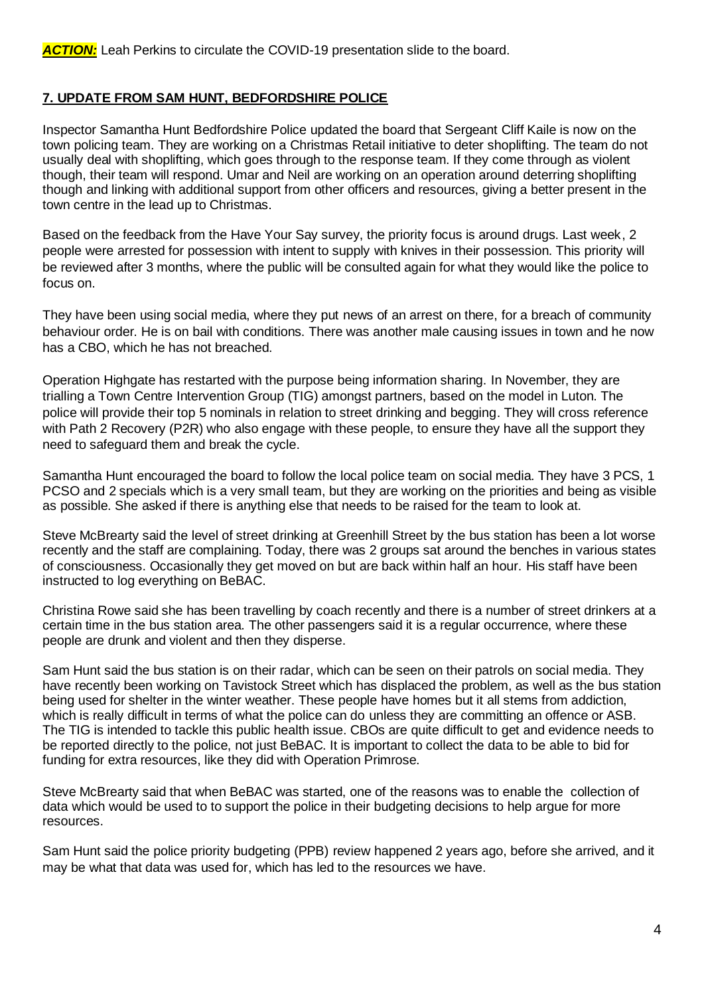### **7. UPDATE FROM SAM HUNT, BEDFORDSHIRE POLICE**

Inspector Samantha Hunt Bedfordshire Police updated the board that Sergeant Cliff Kaile is now on the town policing team. They are working on a Christmas Retail initiative to deter shoplifting. The team do not usually deal with shoplifting, which goes through to the response team. If they come through as violent though, their team will respond. Umar and Neil are working on an operation around deterring shoplifting though and linking with additional support from other officers and resources, giving a better present in the town centre in the lead up to Christmas.

Based on the feedback from the Have Your Say survey, the priority focus is around drugs. Last week, 2 people were arrested for possession with intent to supply with knives in their possession. This priority will be reviewed after 3 months, where the public will be consulted again for what they would like the police to focus on.

They have been using social media, where they put news of an arrest on there, for a breach of community behaviour order. He is on bail with conditions. There was another male causing issues in town and he now has a CBO, which he has not breached.

Operation Highgate has restarted with the purpose being information sharing. In November, they are trialling a Town Centre Intervention Group (TIG) amongst partners, based on the model in Luton. The police will provide their top 5 nominals in relation to street drinking and begging. They will cross reference with Path 2 Recovery (P2R) who also engage with these people, to ensure they have all the support they need to safeguard them and break the cycle.

Samantha Hunt encouraged the board to follow the local police team on social media. They have 3 PCS, 1 PCSO and 2 specials which is a very small team, but they are working on the priorities and being as visible as possible. She asked if there is anything else that needs to be raised for the team to look at.

Steve McBrearty said the level of street drinking at Greenhill Street by the bus station has been a lot worse recently and the staff are complaining. Today, there was 2 groups sat around the benches in various states of consciousness. Occasionally they get moved on but are back within half an hour. His staff have been instructed to log everything on BeBAC.

Christina Rowe said she has been travelling by coach recently and there is a number of street drinkers at a certain time in the bus station area. The other passengers said it is a regular occurrence, where these people are drunk and violent and then they disperse.

Sam Hunt said the bus station is on their radar, which can be seen on their patrols on social media. They have recently been working on Tavistock Street which has displaced the problem, as well as the bus station being used for shelter in the winter weather. These people have homes but it all stems from addiction, which is really difficult in terms of what the police can do unless they are committing an offence or ASB. The TIG is intended to tackle this public health issue. CBOs are quite difficult to get and evidence needs to be reported directly to the police, not just BeBAC. It is important to collect the data to be able to bid for funding for extra resources, like they did with Operation Primrose.

Steve McBrearty said that when BeBAC was started, one of the reasons was to enable the collection of data which would be used to to support the police in their budgeting decisions to help argue for more resources.

Sam Hunt said the police priority budgeting (PPB) review happened 2 years ago, before she arrived, and it may be what that data was used for, which has led to the resources we have.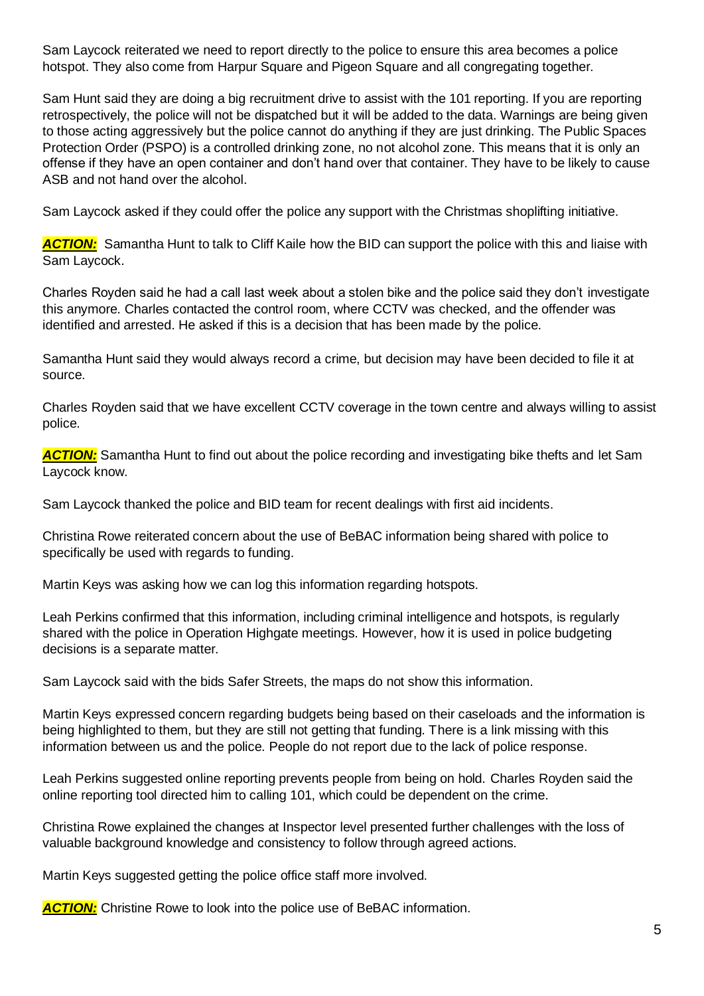Sam Laycock reiterated we need to report directly to the police to ensure this area becomes a police hotspot. They also come from Harpur Square and Pigeon Square and all congregating together.

Sam Hunt said they are doing a big recruitment drive to assist with the 101 reporting. If you are reporting retrospectively, the police will not be dispatched but it will be added to the data. Warnings are being given to those acting aggressively but the police cannot do anything if they are just drinking. The Public Spaces Protection Order (PSPO) is a controlled drinking zone, no not alcohol zone. This means that it is only an offense if they have an open container and don't hand over that container. They have to be likely to cause ASB and not hand over the alcohol.

Sam Laycock asked if they could offer the police any support with the Christmas shoplifting initiative.

**ACTION:** Samantha Hunt to talk to Cliff Kaile how the BID can support the police with this and liaise with Sam Laycock.

Charles Royden said he had a call last week about a stolen bike and the police said they don't investigate this anymore. Charles contacted the control room, where CCTV was checked, and the offender was identified and arrested. He asked if this is a decision that has been made by the police.

Samantha Hunt said they would always record a crime, but decision may have been decided to file it at source.

Charles Royden said that we have excellent CCTV coverage in the town centre and always willing to assist police.

**ACTION:** Samantha Hunt to find out about the police recording and investigating bike thefts and let Sam Laycock know.

Sam Laycock thanked the police and BID team for recent dealings with first aid incidents.

Christina Rowe reiterated concern about the use of BeBAC information being shared with police to specifically be used with regards to funding.

Martin Keys was asking how we can log this information regarding hotspots.

Leah Perkins confirmed that this information, including criminal intelligence and hotspots, is regularly shared with the police in Operation Highgate meetings. However, how it is used in police budgeting decisions is a separate matter.

Sam Laycock said with the bids Safer Streets, the maps do not show this information.

Martin Keys expressed concern regarding budgets being based on their caseloads and the information is being highlighted to them, but they are still not getting that funding. There is a link missing with this information between us and the police. People do not report due to the lack of police response.

Leah Perkins suggested online reporting prevents people from being on hold. Charles Royden said the online reporting tool directed him to calling 101, which could be dependent on the crime.

Christina Rowe explained the changes at Inspector level presented further challenges with the loss of valuable background knowledge and consistency to follow through agreed actions.

Martin Keys suggested getting the police office staff more involved.

**ACTION:** Christine Rowe to look into the police use of BeBAC information.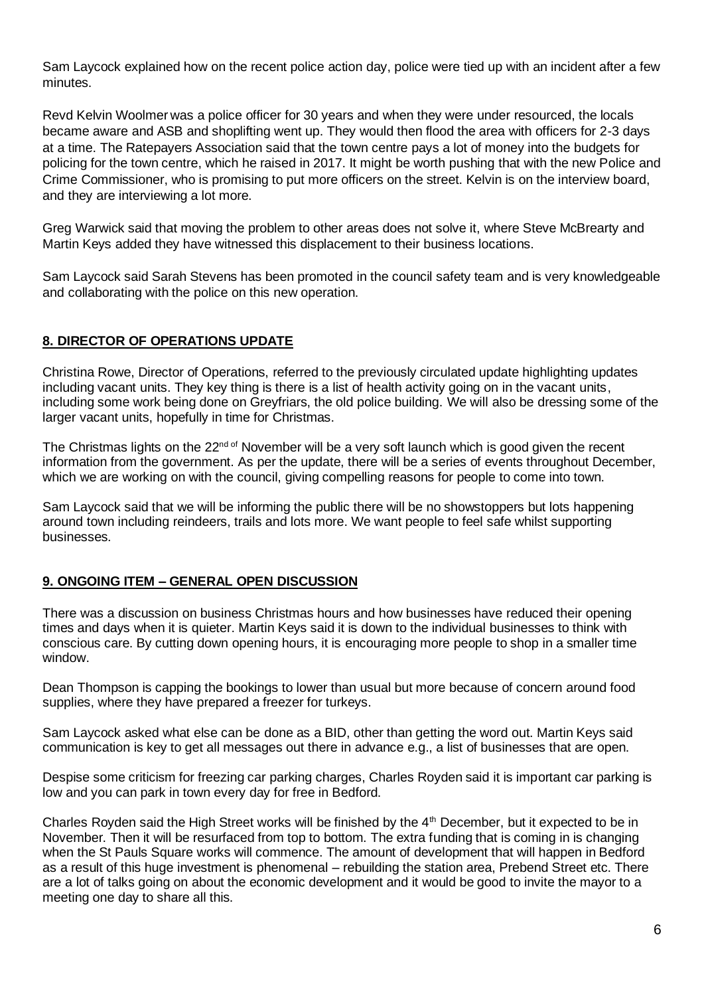Sam Laycock explained how on the recent police action day, police were tied up with an incident after a few minutes.

Revd Kelvin Woolmer was a police officer for 30 years and when they were under resourced, the locals became aware and ASB and shoplifting went up. They would then flood the area with officers for 2-3 days at a time. The Ratepayers Association said that the town centre pays a lot of money into the budgets for policing for the town centre, which he raised in 2017. It might be worth pushing that with the new Police and Crime Commissioner, who is promising to put more officers on the street. Kelvin is on the interview board, and they are interviewing a lot more.

Greg Warwick said that moving the problem to other areas does not solve it, where Steve McBrearty and Martin Keys added they have witnessed this displacement to their business locations.

Sam Laycock said Sarah Stevens has been promoted in the council safety team and is very knowledgeable and collaborating with the police on this new operation.

### **8. DIRECTOR OF OPERATIONS UPDATE**

Christina Rowe, Director of Operations, referred to the previously circulated update highlighting updates including vacant units. They key thing is there is a list of health activity going on in the vacant units, including some work being done on Greyfriars, the old police building. We will also be dressing some of the larger vacant units, hopefully in time for Christmas.

The Christmas lights on the 22<sup>nd of</sup> November will be a very soft launch which is good given the recent information from the government. As per the update, there will be a series of events throughout December, which we are working on with the council, giving compelling reasons for people to come into town.

Sam Laycock said that we will be informing the public there will be no showstoppers but lots happening around town including reindeers, trails and lots more. We want people to feel safe whilst supporting businesses.

### **9. ONGOING ITEM – GENERAL OPEN DISCUSSION**

There was a discussion on business Christmas hours and how businesses have reduced their opening times and days when it is quieter. Martin Keys said it is down to the individual businesses to think with conscious care. By cutting down opening hours, it is encouraging more people to shop in a smaller time window.

Dean Thompson is capping the bookings to lower than usual but more because of concern around food supplies, where they have prepared a freezer for turkeys.

Sam Laycock asked what else can be done as a BID, other than getting the word out. Martin Keys said communication is key to get all messages out there in advance e.g., a list of businesses that are open.

Despise some criticism for freezing car parking charges, Charles Royden said it is important car parking is low and you can park in town every day for free in Bedford.

Charles Royden said the High Street works will be finished by the  $4<sup>th</sup>$  December, but it expected to be in November. Then it will be resurfaced from top to bottom. The extra funding that is coming in is changing when the St Pauls Square works will commence. The amount of development that will happen in Bedford as a result of this huge investment is phenomenal – rebuilding the station area, Prebend Street etc. There are a lot of talks going on about the economic development and it would be good to invite the mayor to a meeting one day to share all this.